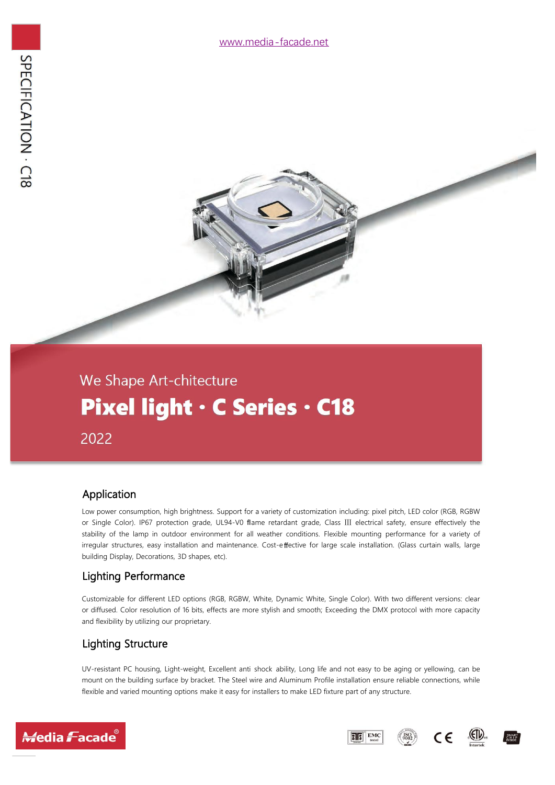# We Shape Art-chitecture Pixel light · C Series · C18 2022

#### Application

Low power consumption, high brightness. Support for a variety of customization including: pixel pitch, LED color (RGB, RGBW or Single Color). IP67 protection grade, UL94-V0 flame retardant grade, Class Ⅲ electrical safety, ensure effectively the stability of the lamp in outdoor environment for all weather conditions. Flexible mounting performance for a variety of irregular structures, easy installation and maintenance. Cost-e ffective for large scale installation. (Glass curtain walls, large building Display, Decorations, 3D shapes, etc).

#### Lighting Performance

Customizable for different LED options (RGB, RGBW, White, Dynamic White, Single Color). With two different versions: clear or diffused. Color resolution of 16 bits, effects are more stylish and smooth; Exceeding the DMX protocol with more capacity and flexibility by utilizing our proprietary.

#### Lighting Structure

UV-resistant PC housing, Light-weight, Excellent anti shock ability, Long life and noteasy to be aging or yellowing, can be mount on the building surface by bracket. The Steel wire and Aluminum Profile installation ensure reliable connections, while flexible and varied mounting options make it easy for installers to make LED fixture part of any structure.





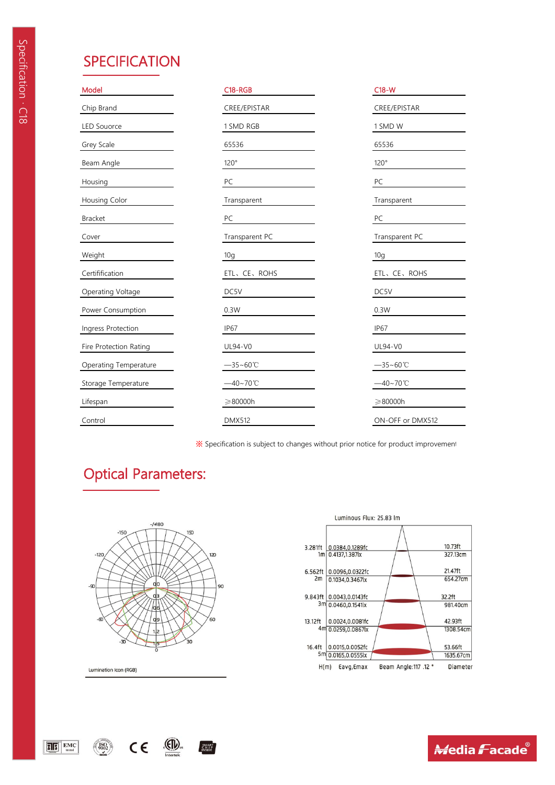| Model                  | $C18 - RGB$          | $C18-W$              |
|------------------------|----------------------|----------------------|
| Chip Brand             | CREE/EPISTAR         | CREE/EPISTAR         |
| <b>LED Souorce</b>     | 1 SMD RGB            | 1 SMD W              |
| Grey Scale             | 65536                | 65536                |
| Beam Angle             | 120°                 | 120°                 |
| Housing                | PC                   | ${\sf PC}$           |
| Housing Color          | Transparent          | Transparent          |
| Bracket                | PC                   | PC                   |
| Cover                  | Transparent PC       | Transparent PC       |
| Weight                 | 10g                  | 10g                  |
| Certifification        | ETL、CE、ROHS          | ETL、CE、ROHS          |
| Operating Voltage      | DC5V                 | DC5V                 |
| Power Consumption      | 0.3W                 | 0.3W                 |
| Ingress Protection     | IP67                 | IP67                 |
| Fire Protection Rating | UL94-V0              | UL94-V0              |
| Operating Temperature  | $-35 - 60^{\circ}$ C | $-35 - 60^{\circ}$ C |
| Storage Temperature    | $-40 - 70^{\circ}$ C | $-40 - 70^{\circ}$ C |
| Lifespan               | $\geq 80000h$        | $\geq 80000h$        |
| Control                | <b>DMX512</b>        | ON-OFF or DMX512     |

——————

※ Specification is subject to changes without prior notice for product improvement.

# Optical Parameters:



.(EID).

SMART<br>CHIP<br>INSIDE

 $C \in$ 

Lumination Icon (RGB)

 $\sqrt{180}$ 

 $E$   $\overline{S}$ <sup>\*</sup>  $E$ MC



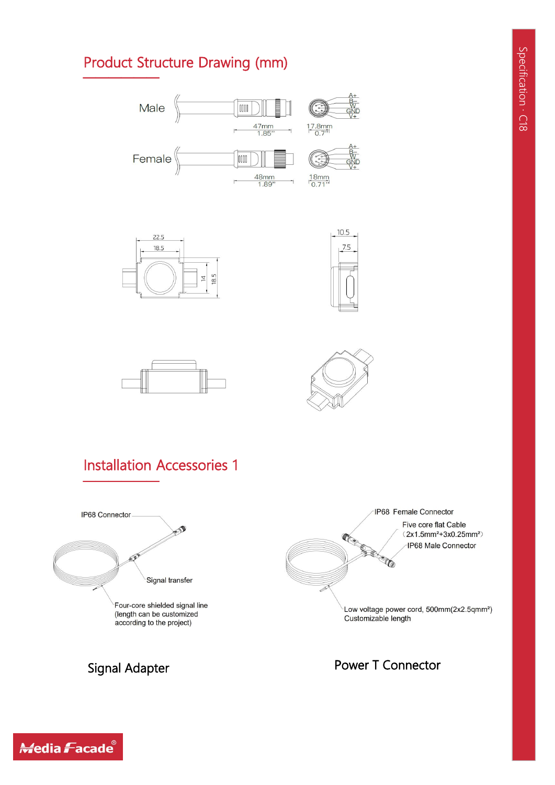## Product Structure Drawing (mm)













### Power T Connector

# Signal Adapter

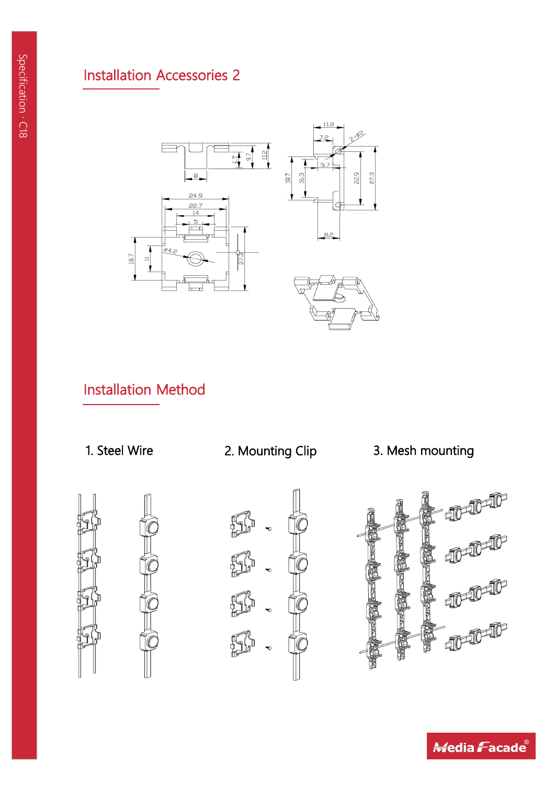# Installation Accessories 2 ————— pe **Installation Ac** Management<br>
Installation<br>
Ca<br>
Ca **Property**<br> **Example 11 Installation**



# Installation Method



——————